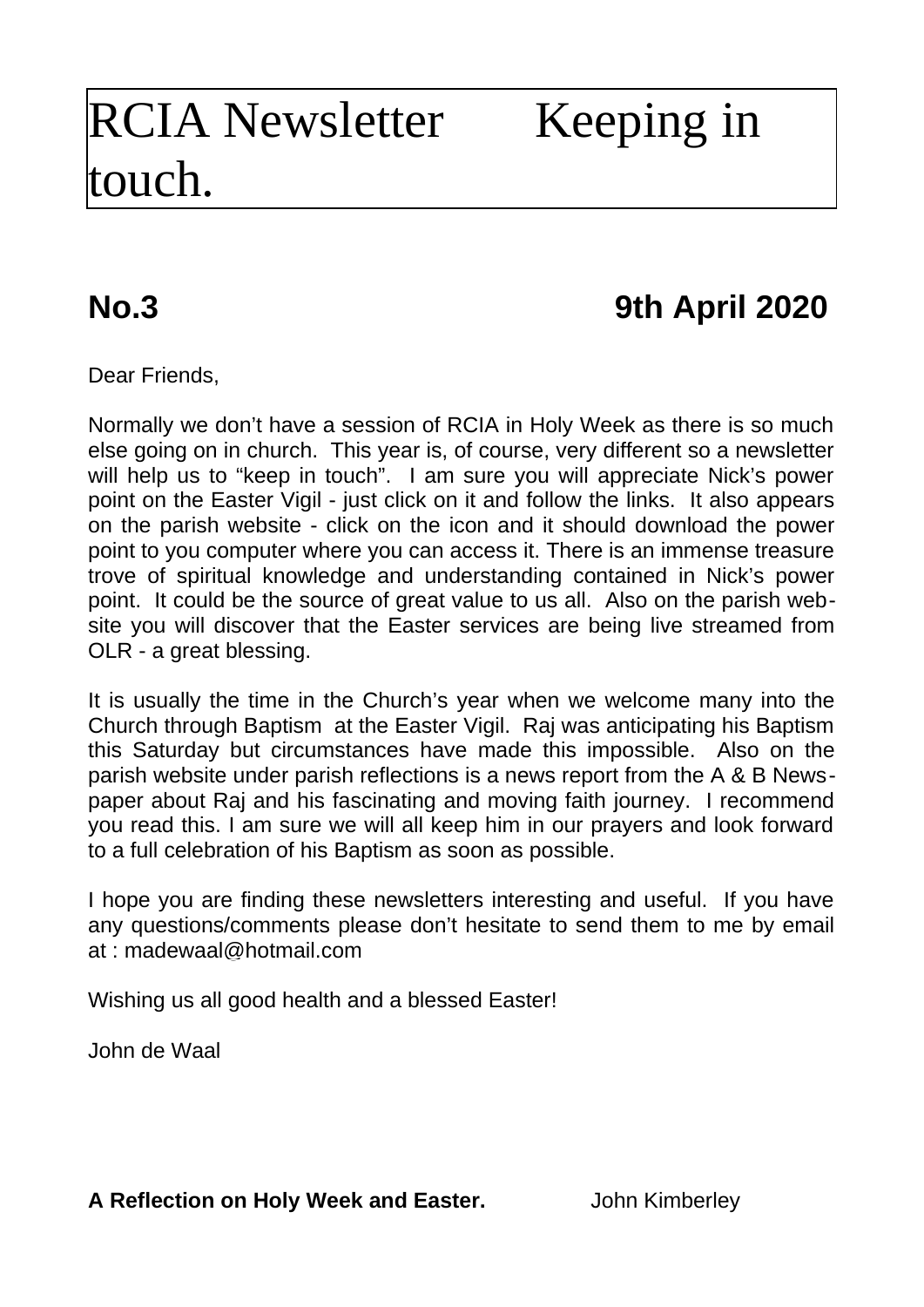## RCIA Newsletter Keeping in touch.

## **No.3 9th April 2020**

Dear Friends,

Normally we don't have a session of RCIA in Holy Week as there is so much else going on in church. This year is, of course, very different so a newsletter will help us to "keep in touch". I am sure you will appreciate Nick's power point on the Easter Vigil - just click on it and follow the links. It also appears on the parish website - click on the icon and it should download the power point to you computer where you can access it. There is an immense treasure trove of spiritual knowledge and understanding contained in Nick's power point. It could be the source of great value to us all. Also on the parish website you will discover that the Easter services are being live streamed from OLR - a great blessing.

It is usually the time in the Church's year when we welcome many into the Church through Baptism at the Easter Vigil. Raj was anticipating his Baptism this Saturday but circumstances have made this impossible. Also on the parish website under parish reflections is a news report from the A & B Newspaper about Raj and his fascinating and moving faith journey. I recommend you read this. I am sure we will all keep him in our prayers and look forward to a full celebration of his Baptism as soon as possible.

I hope you are finding these newsletters interesting and useful. If you have any questions/comments please don't hesitate to send them to me by email at : [madewaal@hotmail.com](mailto:madewaal@hotmail.com)

Wishing us all good health and a blessed Easter!

John de Waal

**A Reflection on Holy Week and Easter.** John Kimberley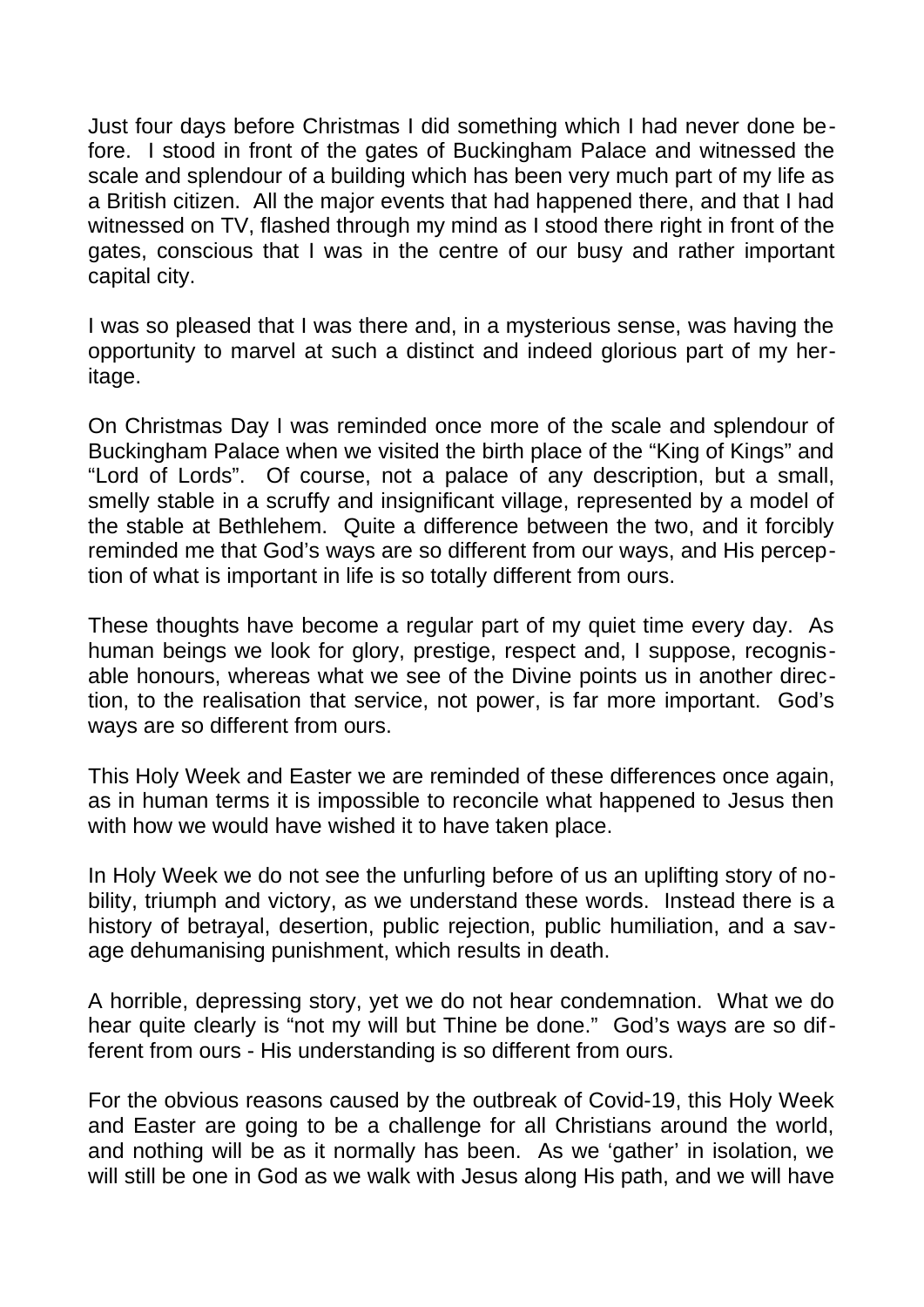Just four days before Christmas I did something which I had never done before. I stood in front of the gates of Buckingham Palace and witnessed the scale and splendour of a building which has been very much part of my life as a British citizen. All the major events that had happened there, and that I had witnessed on TV, flashed through my mind as I stood there right in front of the gates, conscious that I was in the centre of our busy and rather important capital city.

I was so pleased that I was there and, in a mysterious sense, was having the opportunity to marvel at such a distinct and indeed glorious part of my heritage.

On Christmas Day I was reminded once more of the scale and splendour of Buckingham Palace when we visited the birth place of the "King of Kings" and "Lord of Lords". Of course, not a palace of any description, but a small, smelly stable in a scruffy and insignificant village, represented by a model of the stable at Bethlehem. Quite a difference between the two, and it forcibly reminded me that God's ways are so different from our ways, and His perception of what is important in life is so totally different from ours.

These thoughts have become a regular part of my quiet time every day. As human beings we look for glory, prestige, respect and, I suppose, recognisable honours, whereas what we see of the Divine points us in another direction, to the realisation that service, not power, is far more important. God's ways are so different from ours.

This Holy Week and Easter we are reminded of these differences once again, as in human terms it is impossible to reconcile what happened to Jesus then with how we would have wished it to have taken place.

In Holy Week we do not see the unfurling before of us an uplifting story of nobility, triumph and victory, as we understand these words. Instead there is a history of betrayal, desertion, public rejection, public humiliation, and a savage dehumanising punishment, which results in death.

A horrible, depressing story, yet we do not hear condemnation. What we do hear quite clearly is "not my will but Thine be done." God's ways are so different from ours - His understanding is so different from ours.

For the obvious reasons caused by the outbreak of Covid-19, this Holy Week and Easter are going to be a challenge for all Christians around the world, and nothing will be as it normally has been. As we 'gather' in isolation, we will still be one in God as we walk with Jesus along His path, and we will have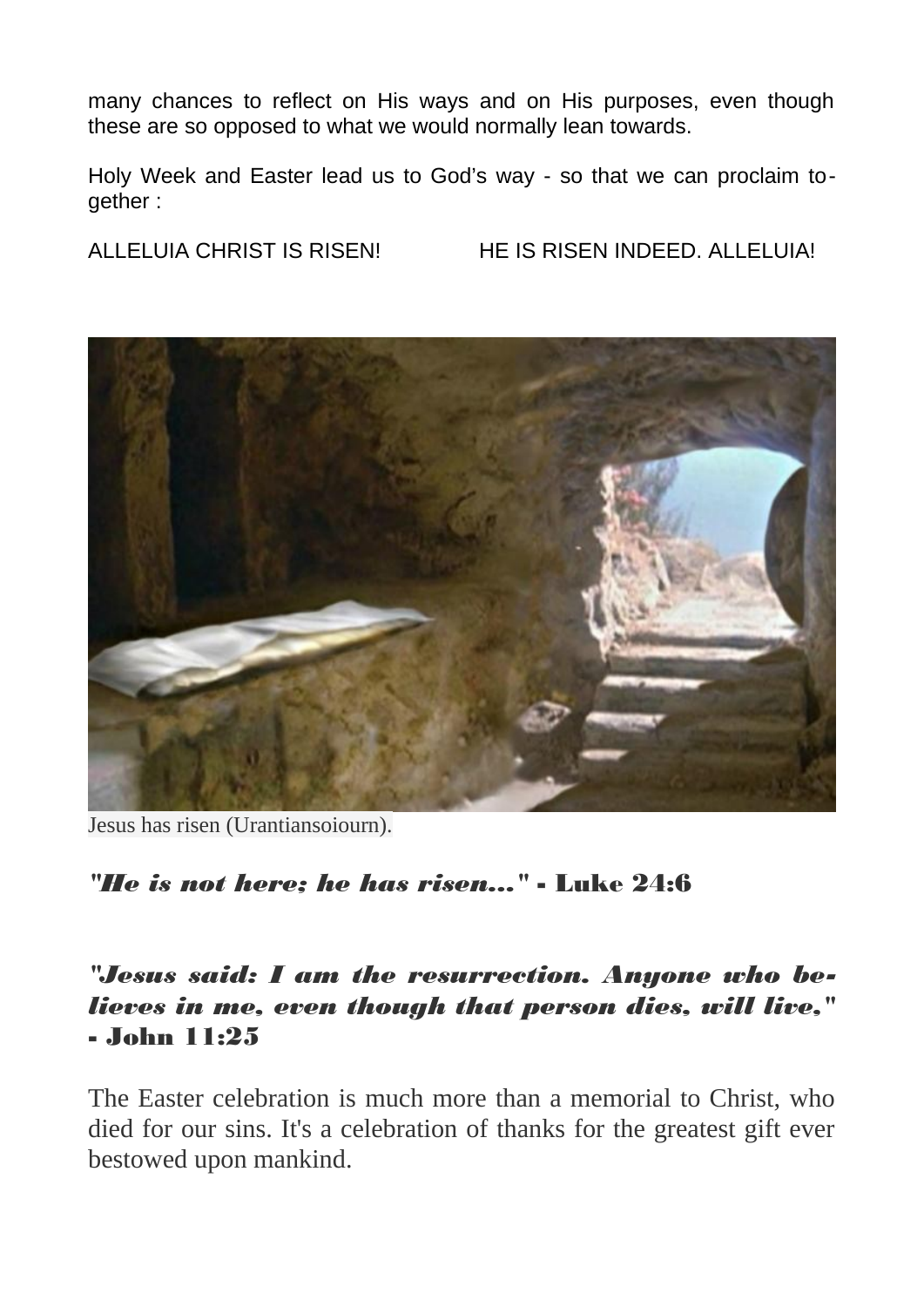many chances to reflect on His ways and on His purposes, even though these are so opposed to what we would normally lean towards.

Holy Week and Easter lead us to God's way - so that we can proclaim together :

ALLELUIA CHRIST IS RISEN! HE IS RISEN INDEED. ALLELUIA!



Jesus has risen (Urantiansoiourn).

*"He is not here; he has risen..."* - Luke 24:6

*"Jesus said: I am the resurrection. Anyone who believes in me, even though that person dies, will live,"* - John 11:25

The Easter celebration is much more than a memorial to Christ, who died for our sins. It's a celebration of thanks for the greatest gift ever bestowed upon mankind.